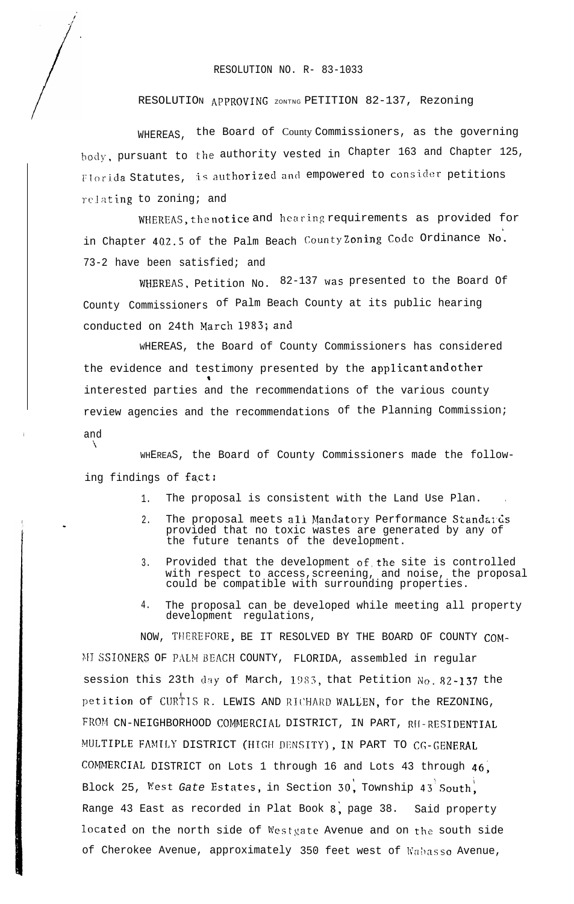RESOLUTION NO. R- 83-1033

## RESOLUTION APPROVING ZONTNG PETITION 82-137, Rezoning

WHEREAS, the Board of County Commissioners, as the governing body, pursuant to the authority vested in Chapter 163 and Chapter 125, Florida Statutes, is authorized and empowered to consider petitions relating to zoning; and

WHEREAS, the notice and hearing requirements as provided for in Chapter 402.5 of the Palm Beach County Zoning Code Ordinance No. 73-2 have been satisfied; and

WHEREAS, Petition No. 82-137 was presented to the Board Of County Commissioners of Palm Beach County at its public hearing conducted on 24th March 1983; and

WHEREAS, the Board of County Commissioners has considered the evidence and testimony presented by the applicant and other interested parties and the recommendations of the various county review agencies and the recommendations of the Planning Commission; and

WHEREAS, the Board of County Commissioners made the following findings of  $fact:$ 

 $\mathcal{L}_{\mathcal{L}}$ 

- 1. The proposal is consistent with the Land Use Plan. .
- 2. The proposal meets all Mandatory Performance Standards provided that no toxic wastes are generated by any of the future tenants of the development.
- 3. Provided that the development of,the site is controlled with respect to access,screening, and noise, the proposal could be compatible with surrounding properties.
- 4. The proposal can be developed while meeting all property development regulations,

NOW, THEREFORE, BE IT RESOLVED BY THE BOARD OF COUNTY COM-MI SSIONERS OF PALM BEACH COUNTY, FLORIDA, assembled in regular session this 23th day of March, 1983, that Petition No. 82-137 the petition of CURTIS R. LEWIS AND RICHARD WALLEN, for the REZONING, FROM CN-NEIGHBORHOOD COMMERCIAL DISTRICT, IN PART, RH-RESIDENTIAL MULTIPLE FAMILY DISTRICT (HIGH DENSITY), IN PART TO CG-GENERAL COMMERCIAL DISTRICT on Lots 1 through 16 and Lots 43 through  $46$ . Block 25, West *Gate* Estates, in Section 30, Township 43<sup>'</sup>South. Range 43 East as recorded in Plat Book  $8$ , page 38. Said property located on the north side of Westgate Avenue and on the south side of Cherokee Avenue, approximately 350 feet west of Wabasso Avenue,